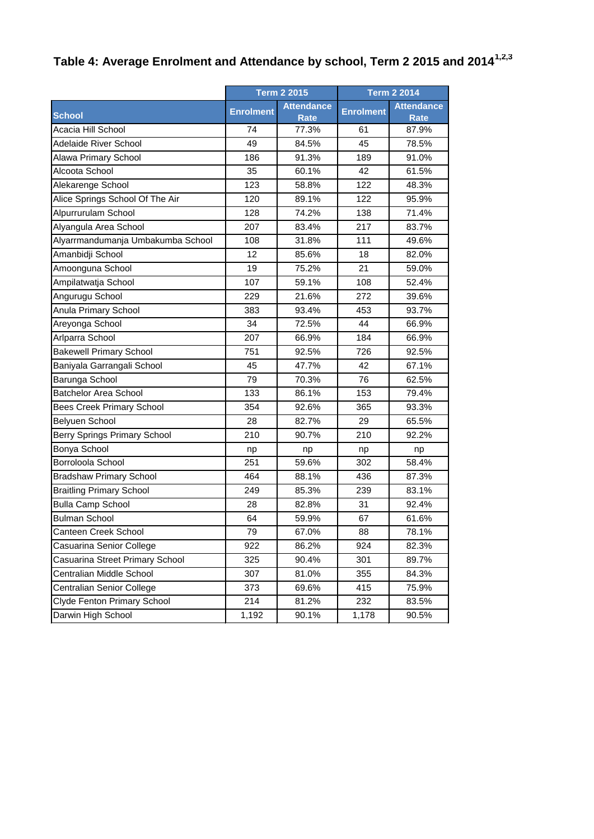## **Table 4: Average Enrolment and Attendance by school, Term 2 2015 and 20141,2,3**

|                                   | <b>Term 2 2015</b> |                           | <b>Term 2 2014</b> |                                  |
|-----------------------------------|--------------------|---------------------------|--------------------|----------------------------------|
| <b>School</b>                     | <b>Enrolment</b>   | <b>Attendance</b><br>Rate | <b>Enrolment</b>   | <b>Attendance</b><br><b>Rate</b> |
| Acacia Hill School                | 74                 | 77.3%                     | 61                 | 87.9%                            |
| Adelaide River School             | 49                 | 84.5%                     | 45                 | 78.5%                            |
| Alawa Primary School              | 186                | 91.3%                     | 189                | 91.0%                            |
| Alcoota School                    | 35                 | 60.1%                     | 42                 | 61.5%                            |
| Alekarenge School                 | 123                | 58.8%                     | 122                | 48.3%                            |
| Alice Springs School Of The Air   | 120                | 89.1%                     | 122                | 95.9%                            |
| Alpurrurulam School               | 128                | 74.2%                     | 138                | 71.4%                            |
| Alyangula Area School             | 207                | 83.4%                     | 217                | 83.7%                            |
| Alyarrmandumanja Umbakumba School | 108                | 31.8%                     | 111                | 49.6%                            |
| Amanbidji School                  | 12                 | 85.6%                     | 18                 | 82.0%                            |
| Amoonguna School                  | 19                 | 75.2%                     | 21                 | 59.0%                            |
| Ampilatwatja School               | 107                | 59.1%                     | 108                | 52.4%                            |
| Angurugu School                   | 229                | 21.6%                     | 272                | 39.6%                            |
| Anula Primary School              | 383                | 93.4%                     | 453                | 93.7%                            |
| Areyonga School                   | 34                 | 72.5%                     | 44                 | 66.9%                            |
| Arlparra School                   | 207                | 66.9%                     | 184                | 66.9%                            |
| <b>Bakewell Primary School</b>    | 751                | 92.5%                     | 726                | 92.5%                            |
| Baniyala Garrangali School        | 45                 | 47.7%                     | 42                 | 67.1%                            |
| Barunga School                    | 79                 | 70.3%                     | 76                 | 62.5%                            |
| <b>Batchelor Area School</b>      | 133                | 86.1%                     | 153                | 79.4%                            |
| <b>Bees Creek Primary School</b>  | 354                | 92.6%                     | 365                | 93.3%                            |
| Belyuen School                    | 28                 | 82.7%                     | 29                 | 65.5%                            |
| Berry Springs Primary School      | 210                | 90.7%                     | 210                | 92.2%                            |
| Bonya School                      | np                 | np                        | np                 | np                               |
| Borroloola School                 | 251                | 59.6%                     | 302                | 58.4%                            |
| <b>Bradshaw Primary School</b>    | 464                | 88.1%                     | 436                | 87.3%                            |
| <b>Braitling Primary School</b>   | 249                | 85.3%                     | 239                | 83.1%                            |
| <b>Bulla Camp School</b>          | 28                 | 82.8%                     | 31                 | 92.4%                            |
| <b>Bulman School</b>              | 64                 | 59.9%                     | 67                 | 61.6%                            |
| Canteen Creek School              | 79                 | 67.0%                     | 88                 | 78.1%                            |
| Casuarina Senior College          | 922                | 86.2%                     | 924                | 82.3%                            |
| Casuarina Street Primary School   | 325                | 90.4%                     | 301                | 89.7%                            |
| Centralian Middle School          | 307                | 81.0%                     | 355                | 84.3%                            |
| Centralian Senior College         | 373                | 69.6%                     | 415                | 75.9%                            |
| Clyde Fenton Primary School       | 214                | 81.2%                     | 232                | 83.5%                            |
| Darwin High School                | 1,192              | 90.1%                     | 1,178              | 90.5%                            |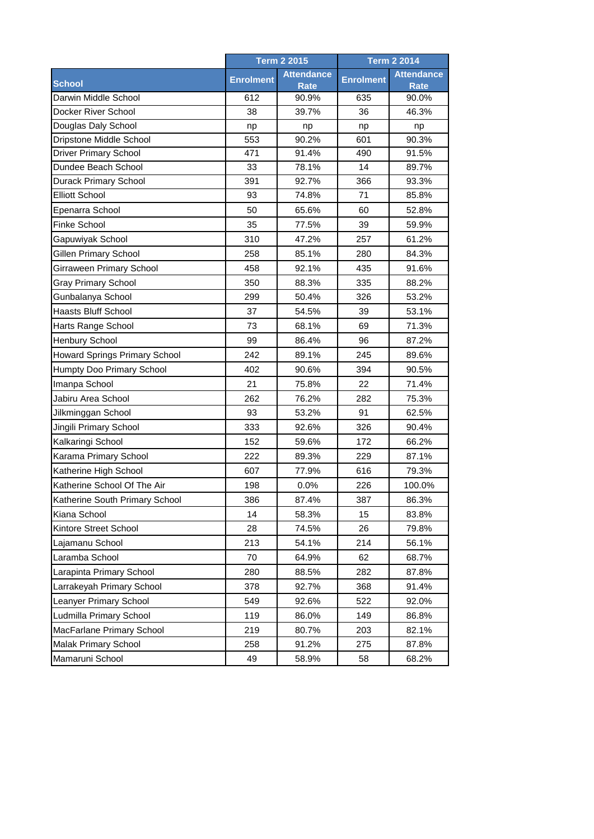|                                |                  | <b>Term 2 2015</b>               |                  | <b>Term 2 2014</b>               |  |
|--------------------------------|------------------|----------------------------------|------------------|----------------------------------|--|
| <b>School</b>                  | <b>Enrolment</b> | <b>Attendance</b><br><b>Rate</b> | <b>Enrolment</b> | <b>Attendance</b><br><b>Rate</b> |  |
| Darwin Middle School           | 612              | 90.9%                            | 635              | 90.0%                            |  |
| Docker River School            | 38               | 39.7%                            | 36               | 46.3%                            |  |
| Douglas Daly School            | np               | np                               | np               | np                               |  |
| Dripstone Middle School        | 553              | 90.2%                            | 601              | 90.3%                            |  |
| <b>Driver Primary School</b>   | 471              | 91.4%                            | 490              | 91.5%                            |  |
| Dundee Beach School            | 33               | 78.1%                            | 14               | 89.7%                            |  |
| Durack Primary School          | 391              | 92.7%                            | 366              | 93.3%                            |  |
| <b>Elliott School</b>          | 93               | 74.8%                            | 71               | 85.8%                            |  |
| Epenarra School                | 50               | 65.6%                            | 60               | 52.8%                            |  |
| <b>Finke School</b>            | 35               | 77.5%                            | 39               | 59.9%                            |  |
| Gapuwiyak School               | 310              | 47.2%                            | 257              | 61.2%                            |  |
| <b>Gillen Primary School</b>   | 258              | 85.1%                            | 280              | 84.3%                            |  |
| Girraween Primary School       | 458              | 92.1%                            | 435              | 91.6%                            |  |
| <b>Gray Primary School</b>     | 350              | 88.3%                            | 335              | 88.2%                            |  |
| Gunbalanya School              | 299              | 50.4%                            | 326              | 53.2%                            |  |
| <b>Haasts Bluff School</b>     | 37               | 54.5%                            | 39               | 53.1%                            |  |
| Harts Range School             | 73               | 68.1%                            | 69               | 71.3%                            |  |
| Henbury School                 | 99               | 86.4%                            | 96               | 87.2%                            |  |
| Howard Springs Primary School  | 242              | 89.1%                            | 245              | 89.6%                            |  |
| Humpty Doo Primary School      | 402              | 90.6%                            | 394              | 90.5%                            |  |
| Imanpa School                  | 21               | 75.8%                            | 22               | 71.4%                            |  |
| Jabiru Area School             | 262              | 76.2%                            | 282              | 75.3%                            |  |
| Jilkminggan School             | 93               | 53.2%                            | 91               | 62.5%                            |  |
| Jingili Primary School         | 333              | 92.6%                            | 326              | 90.4%                            |  |
| Kalkaringi School              | 152              | 59.6%                            | 172              | 66.2%                            |  |
| Karama Primary School          | 222              | 89.3%                            | 229              | 87.1%                            |  |
| Katherine High School          | 607              | 77.9%                            | 616              | 79.3%                            |  |
| Katherine School Of The Air    | 198              | 0.0%                             | 226              | 100.0%                           |  |
| Katherine South Primary School | 386              | 87.4%                            | 387              | 86.3%                            |  |
| Kiana School                   | 14               | 58.3%                            | 15               | 83.8%                            |  |
| Kintore Street School          | 28               | 74.5%                            | 26               | 79.8%                            |  |
| Lajamanu School                | 213              | 54.1%                            | 214              | 56.1%                            |  |
| Laramba School                 | 70               | 64.9%                            | 62               | 68.7%                            |  |
| Larapinta Primary School       | 280              | 88.5%                            | 282              | 87.8%                            |  |
| Larrakeyah Primary School      | 378              | 92.7%                            | 368              | 91.4%                            |  |
| Leanyer Primary School         | 549              | 92.6%                            | 522              | 92.0%                            |  |
| Ludmilla Primary School        | 119              |                                  | 149              |                                  |  |
|                                |                  | 86.0%                            |                  | 86.8%                            |  |
| MacFarlane Primary School      | 219              | 80.7%                            | 203              | 82.1%                            |  |
| <b>Malak Primary School</b>    | 258              | 91.2%                            | 275              | 87.8%                            |  |
| Mamaruni School                | 49               | 58.9%                            | 58               | 68.2%                            |  |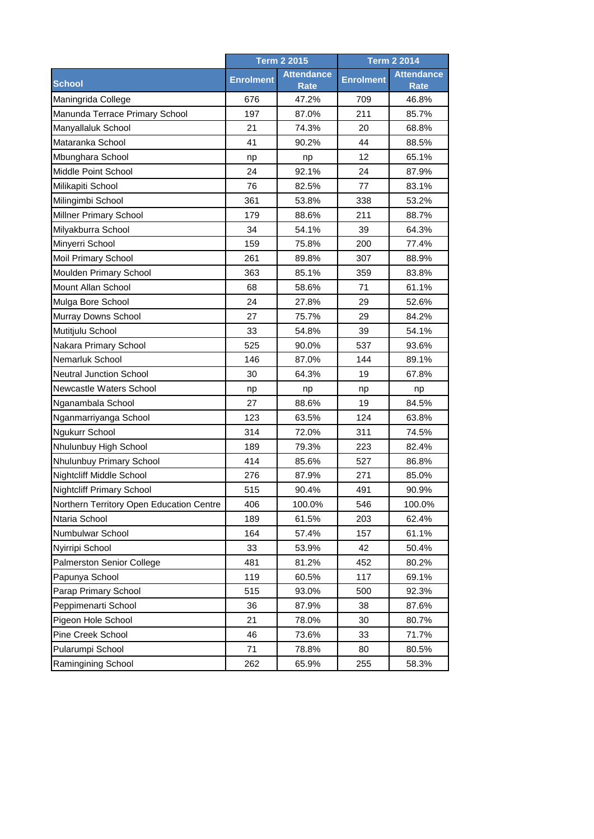|                                          | <b>Term 2 2015</b> |                                  | <b>Term 2 2014</b> |                                  |
|------------------------------------------|--------------------|----------------------------------|--------------------|----------------------------------|
| <b>School</b>                            | <b>Enrolment</b>   | <b>Attendance</b><br><b>Rate</b> | <b>Enrolment</b>   | <b>Attendance</b><br><b>Rate</b> |
| Maningrida College                       | 676                | 47.2%                            | 709                | 46.8%                            |
| Manunda Terrace Primary School           | 197                | 87.0%                            | 211                | 85.7%                            |
| Manyallaluk School                       | 21                 | 74.3%                            | 20                 | 68.8%                            |
| Mataranka School                         | 41                 | 90.2%                            | 44                 | 88.5%                            |
| Mbunghara School                         | np                 | np                               | 12                 | 65.1%                            |
| Middle Point School                      | 24                 | 92.1%                            | 24                 | 87.9%                            |
| Milikapiti School                        | 76                 | 82.5%                            | 77                 | 83.1%                            |
| Milingimbi School                        | 361                | 53.8%                            | 338                | 53.2%                            |
| Millner Primary School                   | 179                | 88.6%                            | 211                | 88.7%                            |
| Milyakburra School                       | 34                 | 54.1%                            | 39                 | 64.3%                            |
| Minyerri School                          | 159                | 75.8%                            | 200                | 77.4%                            |
| Moil Primary School                      | 261                | 89.8%                            | 307                | 88.9%                            |
| Moulden Primary School                   | 363                | 85.1%                            | 359                | 83.8%                            |
| Mount Allan School                       | 68                 | 58.6%                            | 71                 | 61.1%                            |
| Mulga Bore School                        | 24                 | 27.8%                            | 29                 | 52.6%                            |
| Murray Downs School                      | 27                 | 75.7%                            | 29                 | 84.2%                            |
| Mutitjulu School                         | 33                 | 54.8%                            | 39                 | 54.1%                            |
| Nakara Primary School                    | 525                | 90.0%                            | 537                | 93.6%                            |
| Nemarluk School                          | 146                | 87.0%                            | 144                | 89.1%                            |
| <b>Neutral Junction School</b>           | 30                 | 64.3%                            | 19                 | 67.8%                            |
| Newcastle Waters School                  | np                 | np                               | np                 | np                               |
| Nganambala School                        | 27                 | 88.6%                            | 19                 | 84.5%                            |
| Nganmarriyanga School                    | 123                | 63.5%                            | 124                | 63.8%                            |
| Ngukurr School                           | 314                | 72.0%                            | 311                | 74.5%                            |
| Nhulunbuy High School                    | 189                | 79.3%                            | 223                | 82.4%                            |
| Nhulunbuy Primary School                 | 414                | 85.6%                            | 527                | 86.8%                            |
| Nightcliff Middle School                 | 276                | 87.9%                            | 271                | 85.0%                            |
| <b>Nightcliff Primary School</b>         | 515                | 90.4%                            | 491                | 90.9%                            |
| Northern Territory Open Education Centre | 406                | 100.0%                           | 546                | 100.0%                           |
| Ntaria School                            | 189                | 61.5%                            | 203                | 62.4%                            |
| Numbulwar School                         | 164                | 57.4%                            | 157                | 61.1%                            |
| Nyirripi School                          | 33                 | 53.9%                            | 42                 | 50.4%                            |
| Palmerston Senior College                | 481                | 81.2%                            | 452                | 80.2%                            |
| Papunya School                           | 119                | 60.5%                            | 117                | 69.1%                            |
| Parap Primary School                     | 515                | 93.0%                            | 500                | 92.3%                            |
| Peppimenarti School                      | 36                 | 87.9%                            | 38                 | 87.6%                            |
| Pigeon Hole School                       | 21                 | 78.0%                            | 30                 | 80.7%                            |
| Pine Creek School                        | 46                 | 73.6%                            | 33                 | 71.7%                            |
| Pularumpi School                         | 71                 | 78.8%                            | 80                 | 80.5%                            |
| Ramingining School                       | 262                | 65.9%                            | 255                | 58.3%                            |